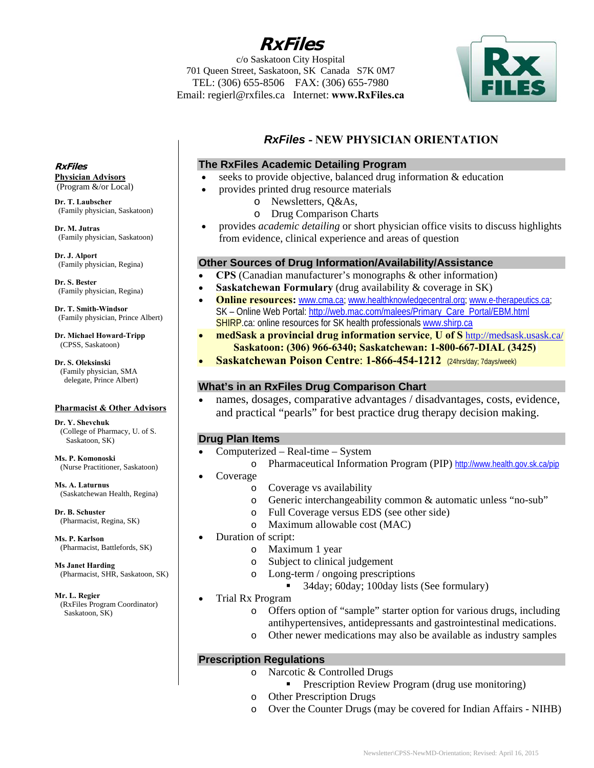**RxFiles** 

c/o Saskatoon City Hospital 701 Queen Street, Saskatoon, SK Canada S7K 0M7 TEL: (306) 655-8506FAX: (306) 655-7980 Email: regierl@rxfiles.ca Internet: **www.RxFiles.ca**



# *RxFiles* **- NEW PHYSICIAN ORIENTATION**

## **The RxFiles Academic Detailing Program**

- seeks to provide objective, balanced drug information & education
	- provides printed drug resource materials
		- o Newsletters, Q&As,
		- o Drug Comparison Charts
- provides *academic detailing* or short physician office visits to discuss highlights from evidence, clinical experience and areas of question

#### **Other Sources of Drug Information/Availability/Assistance**

- **CPS** (Canadian manufacturer's monographs & other information)
- **Saskatchewan Formulary** (drug availability & coverage in SK)
- **Online resources:** www.cma.ca; www.healthknowledgecentral.org; www.e-therapeutics.ca; SK – Online Web Portal: http://web.mac.com/malees/Primary\_Care\_Portal/EBM.html SHIRP.ca: online resources for SK health professionals www.shirp.ca
- **medSask a provincial drug information service**, **U of S** http://medsask.usask.ca/  **Saskatoon: (306) 966-6340; Saskatchewan: 1-800-667-DIAL (3425)**
- **Saskatchewan Poison Centre**: **1-866-454-1212** (24hrs/day; 7days/week)

## **What's in an RxFiles Drug Comparison Chart**

 names, dosages, comparative advantages / disadvantages, costs, evidence, and practical "pearls" for best practice drug therapy decision making.

## **Drug Plan Items**

- Computerized Real-time System
	- o Pharmaceutical Information Program (PIP) http://www.health.gov.sk.ca/pip Coverage
		- o Coverage vs availability
			- o Generic interchangeability common & automatic unless "no-sub"
			- o Full Coverage versus EDS (see other side)
			- o Maximum allowable cost (MAC)
- Duration of script:
	- o Maximum 1 year
	- o Subject to clinical judgement
	- o Long-term / ongoing prescriptions
		- 34day; 60day; 100day lists (See formulary)
- Trial Rx Program
	- o Offers option of "sample" starter option for various drugs, including antihypertensives, antidepressants and gastrointestinal medications.
	- o Other newer medications may also be available as industry samples

## **Prescription Regulations**

- o Narcotic & Controlled Drugs
	- Prescription Review Program (drug use monitoring)
- o Other Prescription Drugs
- o Over the Counter Drugs (may be covered for Indian Affairs NIHB)

**RxFiles Physician Advisors**  (Program &/or Local)

**Dr. T. Laubscher** (Family physician, Saskatoon)

**Dr. M. Jutras**  (Family physician, Saskatoon)

**Dr. J. Alport** (Family physician, Regina)

**Dr. S. Bester** (Family physician, Regina)

**Dr. T. Smith-Windsor** (Family physician, Prince Albert)

**Dr. Michael Howard-Tripp**  (CPSS, Saskatoon)

**Dr. S. Oleksinski** (Family physician, SMA delegate, Prince Albert)

#### **Pharmacist & Other Advisors**

**Dr. Y. Shevchuk**  (College of Pharmacy, U. of S. Saskatoon, SK)

**Ms. P. Komonoski** (Nurse Practitioner, Saskatoon)

**Ms. A. Laturnus**  (Saskatchewan Health, Regina)

**Dr. B. Schuster** (Pharmacist, Regina, SK)

**Ms. P. Karlson**  (Pharmacist, Battlefords, SK)

**Ms Janet Harding**  (Pharmacist, SHR, Saskatoon, SK)

**Mr. L. Regier**  (RxFiles Program Coordinator) Saskatoon, SK)